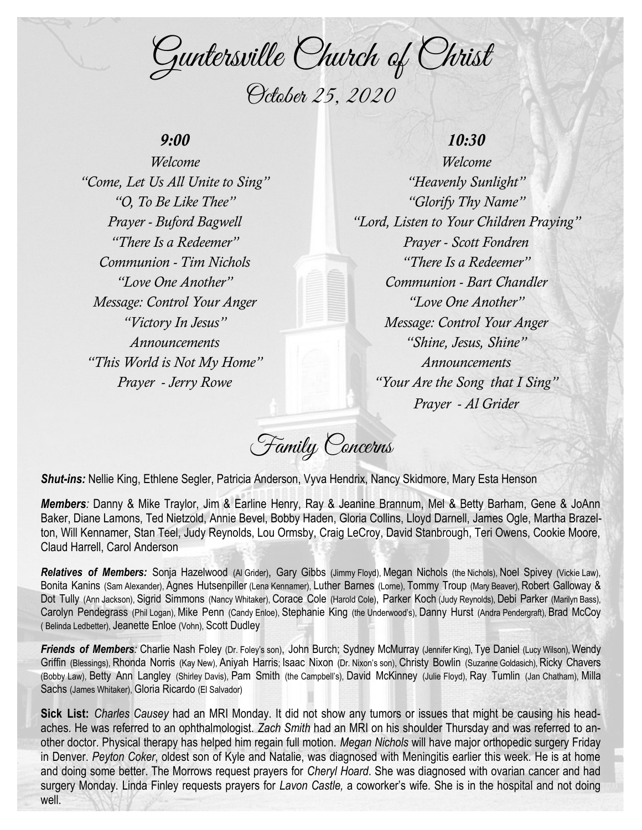Guntersville Church of Christ October 25, 2020

## *9:00*

*Welcome "Come, Let Us All Unite to Sing" "O, To Be Like Thee" Prayer - Buford Bagwell "There Is a Redeemer" Communion - Tim Nichols "Love One Another" Message: Control Your Anger "Victory In Jesus" Announcements "This World is Not My Home" Prayer - Jerry Rowe*

## *10:30*

*Welcome "Heavenly Sunlight" "Glorify Thy Name" "Lord, Listen to Your Children Praying" Prayer - Scott Fondren "There Is a Redeemer" Communion - Bart Chandler "Love One Another" Message: Control Your Anger "Shine, Jesus, Shine" Announcements "Your Are the Song that I Sing" Prayer - Al Grider*

Family Concerns

*Shut-ins:* Nellie King, Ethlene Segler, Patricia Anderson, Vyva Hendrix, Nancy Skidmore, Mary Esta Henson

*Members:* Danny & Mike Traylor, Jim & Earline Henry, Ray & Jeanine Brannum, Mel & Betty Barham, Gene & JoAnn Baker, Diane Lamons, Ted Nietzold, Annie Bevel, Bobby Haden, Gloria Collins, Lloyd Darnell, James Ogle, Martha Brazelton, Will Kennamer, Stan Teel, Judy Reynolds, Lou Ormsby, Craig LeCroy, David Stanbrough, Teri Owens, Cookie Moore, Claud Harrell, Carol Anderson

*Relatives of Members:* Sonja Hazelwood (Al Grider), Gary Gibbs (Jimmy Floyd), Megan Nichols (the Nichols), Noel Spivey (Vickie Law), Bonita Kanins (Sam Alexander), Agnes Hutsenpiller (Lena Kennamer), Luther Barnes (Lorne), Tommy Troup (Mary Beaver), Robert Galloway & Dot Tully (Ann Jackson), Sigrid Simmons (Nancy Whitaker), Corace Cole (Harold Cole), Parker Koch (Judy Reynolds), Debi Parker (Marilyn Bass), Carolyn Pendegrass (Phil Logan), Mike Penn (Candy Enloe), Stephanie King (the Underwood's), Danny Hurst (Andra Pendergraft), Brad McCoy ( Belinda Ledbetter), Jeanette Enloe (Vohn), Scott Dudley

*Friends of Members:* Charlie Nash Foley (Dr. Foley's son), John Burch; Sydney McMurray (Jennifer King), Tye Daniel (Lucy Wilson), Wendy Griffin (Blessings), Rhonda Norris (Kay New), Aniyah Harris; Isaac Nixon (Dr. Nixon's son), Christy Bowlin (Suzanne Goldasich), Ricky Chavers (Bobby Law), Betty Ann Langley (Shirley Davis), Pam Smith (the Campbell's), David McKinney (Julie Floyd), Ray Tumlin (Jan Chatham), Milla Sachs (James Whitaker), Gloria Ricardo (El Salvador)

**Sick List:** *Charles Causey* had an MRI Monday. It did not show any tumors or issues that might be causing his headaches. He was referred to an ophthalmologist. *Zach Smith* had an MRI on his shoulder Thursday and was referred to another doctor. Physical therapy has helped him regain full motion. *Megan Nichols* will have major orthopedic surgery Friday in Denver. *Peyton Coker*, oldest son of Kyle and Natalie, was diagnosed with Meningitis earlier this week. He is at home and doing some better. The Morrows request prayers for *Cheryl Hoard*. She was diagnosed with ovarian cancer and had surgery Monday. Linda Finley requests prayers for *Lavon Castle,* a coworker's wife. She is in the hospital and not doing well.